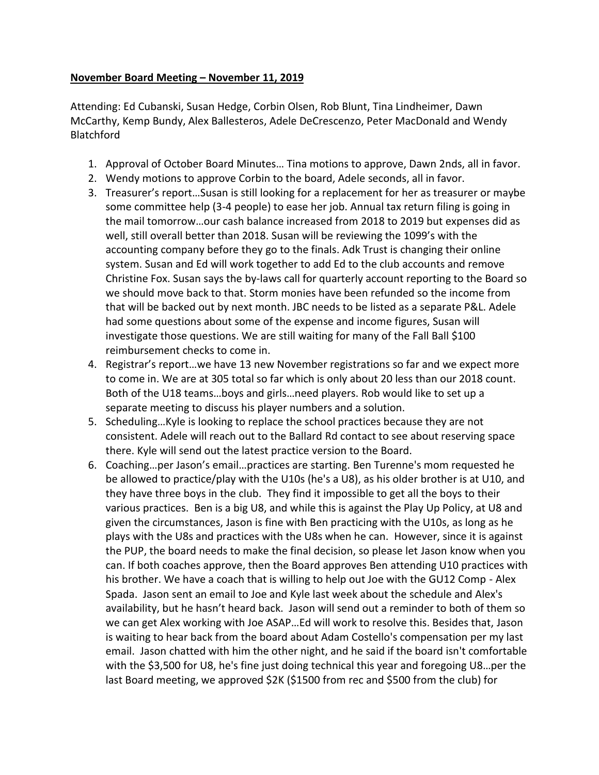## **November Board Meeting – November 11, 2019**

Attending: Ed Cubanski, Susan Hedge, Corbin Olsen, Rob Blunt, Tina Lindheimer, Dawn McCarthy, Kemp Bundy, Alex Ballesteros, Adele DeCrescenzo, Peter MacDonald and Wendy **Blatchford** 

- 1. Approval of October Board Minutes… Tina motions to approve, Dawn 2nds, all in favor.
- 2. Wendy motions to approve Corbin to the board, Adele seconds, all in favor.
- 3. Treasurer's report…Susan is still looking for a replacement for her as treasurer or maybe some committee help (3-4 people) to ease her job. Annual tax return filing is going in the mail tomorrow…our cash balance increased from 2018 to 2019 but expenses did as well, still overall better than 2018. Susan will be reviewing the 1099's with the accounting company before they go to the finals. Adk Trust is changing their online system. Susan and Ed will work together to add Ed to the club accounts and remove Christine Fox. Susan says the by-laws call for quarterly account reporting to the Board so we should move back to that. Storm monies have been refunded so the income from that will be backed out by next month. JBC needs to be listed as a separate P&L. Adele had some questions about some of the expense and income figures, Susan will investigate those questions. We are still waiting for many of the Fall Ball \$100 reimbursement checks to come in.
- 4. Registrar's report…we have 13 new November registrations so far and we expect more to come in. We are at 305 total so far which is only about 20 less than our 2018 count. Both of the U18 teams…boys and girls…need players. Rob would like to set up a separate meeting to discuss his player numbers and a solution.
- 5. Scheduling…Kyle is looking to replace the school practices because they are not consistent. Adele will reach out to the Ballard Rd contact to see about reserving space there. Kyle will send out the latest practice version to the Board.
- 6. Coaching…per Jason's email…practices are starting. Ben Turenne's mom requested he be allowed to practice/play with the U10s (he's a U8), as his older brother is at U10, and they have three boys in the club. They find it impossible to get all the boys to their various practices. Ben is a big U8, and while this is against the Play Up Policy, at U8 and given the circumstances, Jason is fine with Ben practicing with the U10s, as long as he plays with the U8s and practices with the U8s when he can. However, since it is against the PUP, the board needs to make the final decision, so please let Jason know when you can. If both coaches approve, then the Board approves Ben attending U10 practices with his brother. We have a coach that is willing to help out Joe with the GU12 Comp - Alex Spada. Jason sent an email to Joe and Kyle last week about the schedule and Alex's availability, but he hasn't heard back. Jason will send out a reminder to both of them so we can get Alex working with Joe ASAP…Ed will work to resolve this. Besides that, Jason is waiting to hear back from the board about Adam Costello's compensation per my last email. Jason chatted with him the other night, and he said if the board isn't comfortable with the \$3,500 for U8, he's fine just doing technical this year and foregoing U8…per the last Board meeting, we approved \$2K (\$1500 from rec and \$500 from the club) for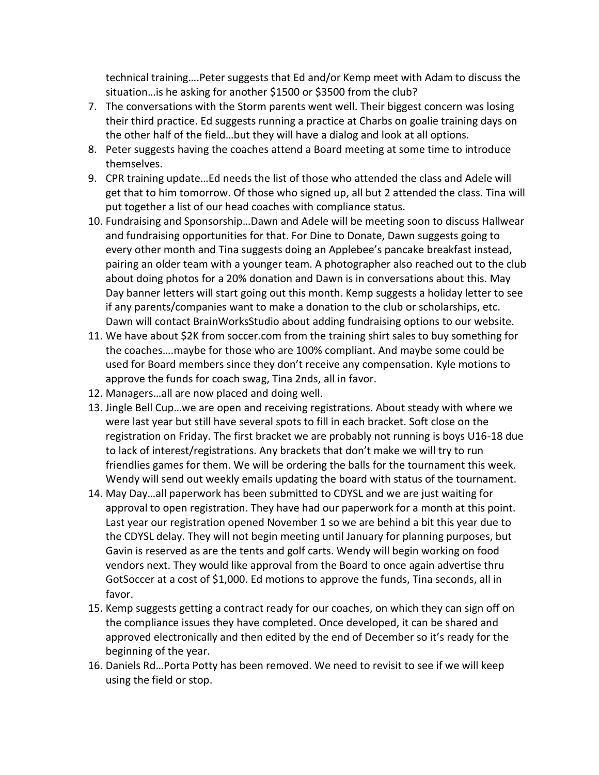technical training….Peter suggests that Ed and/or Kemp meet with Adam to discuss the situation…is he asking for another \$1500 or \$3500 from the club?

- 7. The conversations with the Storm parents went well. Their biggest concern was losing their third practice. Ed suggests running a practice at Charbs on goalie training days on the other half of the field…but they will have a dialog and look at all options.
- 8. Peter suggests having the coaches attend a Board meeting at some time to introduce themselves.
- 9. CPR training update…Ed needs the list of those who attended the class and Adele will get that to him tomorrow. Of those who signed up, all but 2 attended the class. Tina will put together a list of our head coaches with compliance status.
- 10. Fundraising and Sponsorship…Dawn and Adele will be meeting soon to discuss Hallwear and fundraising opportunities for that. For Dine to Donate, Dawn suggests going to every other month and Tina suggests doing an Applebee's pancake breakfast instead, pairing an older team with a younger team. A photographer also reached out to the club about doing photos for a 20% donation and Dawn is in conversations about this. May Day banner letters will start going out this month. Kemp suggests a holiday letter to see if any parents/companies want to make a donation to the club or scholarships, etc. Dawn will contact BrainWorksStudio about adding fundraising options to our website.
- 11. We have about \$2K from soccer.com from the training shirt sales to buy something for the coaches….maybe for those who are 100% compliant. And maybe some could be used for Board members since they don't receive any compensation. Kyle motions to approve the funds for coach swag, Tina 2nds, all in favor.
- 12. Managers…all are now placed and doing well.
- 13. Jingle Bell Cup…we are open and receiving registrations. About steady with where we were last year but still have several spots to fill in each bracket. Soft close on the registration on Friday. The first bracket we are probably not running is boys U16-18 due to lack of interest/registrations. Any brackets that don't make we will try to run friendlies games for them. We will be ordering the balls for the tournament this week. Wendy will send out weekly emails updating the board with status of the tournament.
- 14. May Day…all paperwork has been submitted to CDYSL and we are just waiting for approval to open registration. They have had our paperwork for a month at this point. Last year our registration opened November 1 so we are behind a bit this year due to the CDYSL delay. They will not begin meeting until January for planning purposes, but Gavin is reserved as are the tents and golf carts. Wendy will begin working on food vendors next. They would like approval from the Board to once again advertise thru GotSoccer at a cost of \$1,000. Ed motions to approve the funds, Tina seconds, all in favor.
- 15. Kemp suggests getting a contract ready for our coaches, on which they can sign off on the compliance issues they have completed. Once developed, it can be shared and approved electronically and then edited by the end of December so it's ready for the beginning of the year.
- 16. Daniels Rd…Porta Potty has been removed. We need to revisit to see if we will keep using the field or stop.